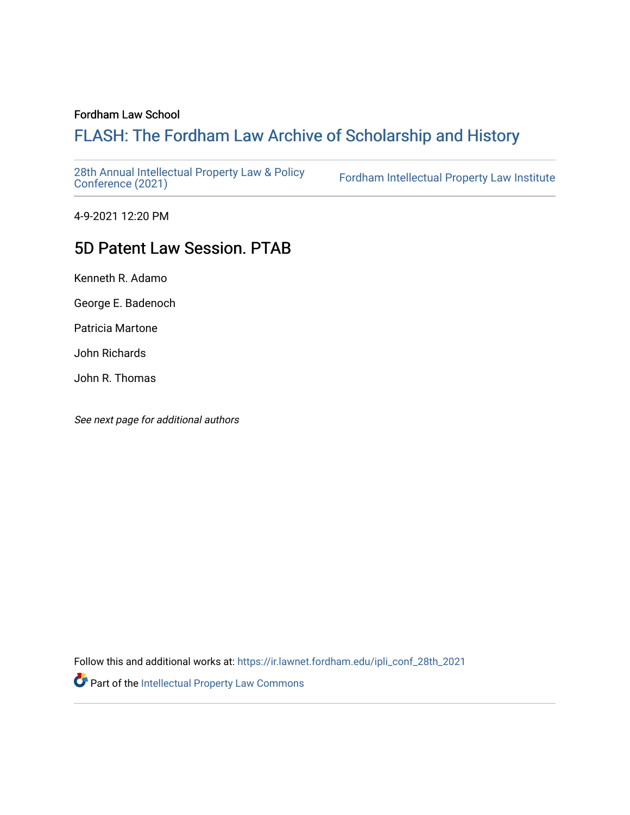#### Fordham Law School

# FLASH: The For[dham Law Archive of Scholarship and Hist](https://ir.lawnet.fordham.edu/)ory

[28th Annual Intellectual Property Law & Policy](https://ir.lawnet.fordham.edu/ipli_conf_28th_2021)<br>Conference (2021)

Fordham Intellectual Property Law Institute

4-9-2021 12:20 PM

## 5D Patent Law Session. PTAB

Kenneth R. Adamo

George E. Badenoch

Patricia Martone

John Richards

John R. Thomas

See next page for additional authors

Follow this and additional works at: [https://ir.lawnet.fordham.edu/ipli\\_conf\\_28th\\_2021](https://ir.lawnet.fordham.edu/ipli_conf_28th_2021?utm_source=ir.lawnet.fordham.edu%2Fipli_conf_28th_2021%2F16&utm_medium=PDF&utm_campaign=PDFCoverPages) 

Part of the [Intellectual Property Law Commons](http://network.bepress.com/hgg/discipline/896?utm_source=ir.lawnet.fordham.edu%2Fipli_conf_28th_2021%2F16&utm_medium=PDF&utm_campaign=PDFCoverPages)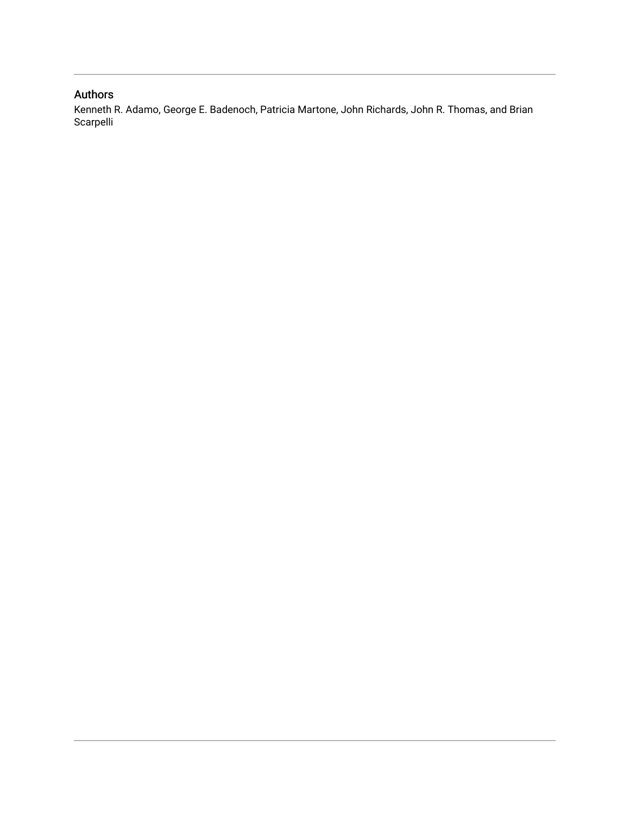## Authors

Kenneth R. Adamo, George E. Badenoch, Patricia Martone, John Richards, John R. Thomas, and Brian Scarpelli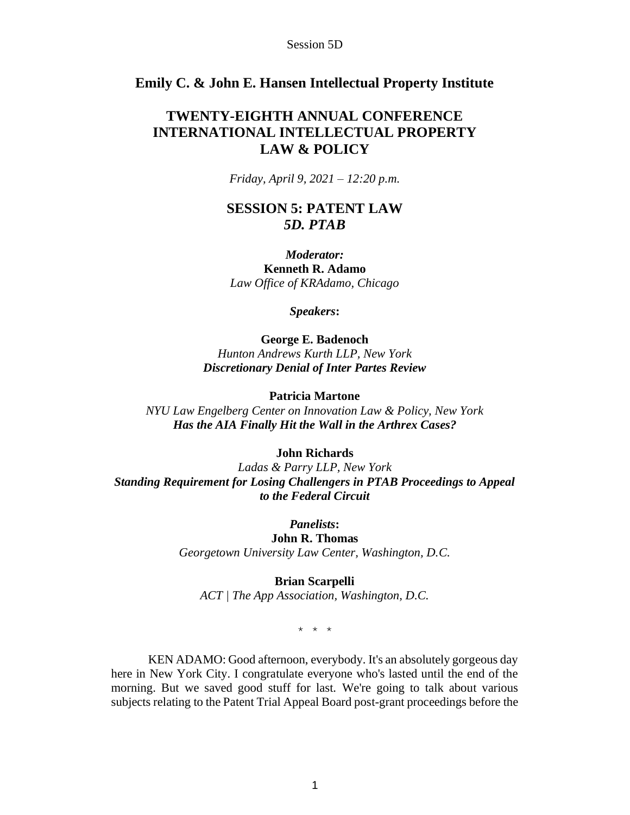## **Emily C. & John E. Hansen Intellectual Property Institute**

## **TWENTY-EIGHTH ANNUAL CONFERENCE INTERNATIONAL INTELLECTUAL PROPERTY LAW & POLICY**

*Friday, April 9, 2021 – 12:20 p.m.*

## **SESSION 5: PATENT LAW** *5D. PTAB*

*Moderator:* **Kenneth R. Adamo** *Law Office of KRAdamo, Chicago*

*Speakers***:**

**George E. Badenoch** *Hunton Andrews Kurth LLP, New York Discretionary Denial of Inter Partes Review*

**Patricia Martone**

*NYU Law Engelberg Center on Innovation Law & Policy, New York Has the AIA Finally Hit the Wall in the Arthrex Cases?*

#### **John Richards**

*Ladas & Parry LLP, New York Standing Requirement for Losing Challengers in PTAB Proceedings to Appeal to the Federal Circuit*

> *Panelists***: John R. Thomas** *Georgetown University Law Center, Washington, D.C.*

> > **Brian Scarpelli**

*ACT | The App Association, Washington, D.C.*

\* \* \*

KEN ADAMO: Good afternoon, everybody. It's an absolutely gorgeous day here in New York City. I congratulate everyone who's lasted until the end of the morning. But we saved good stuff for last. We're going to talk about various subjects relating to the Patent Trial Appeal Board post-grant proceedings before the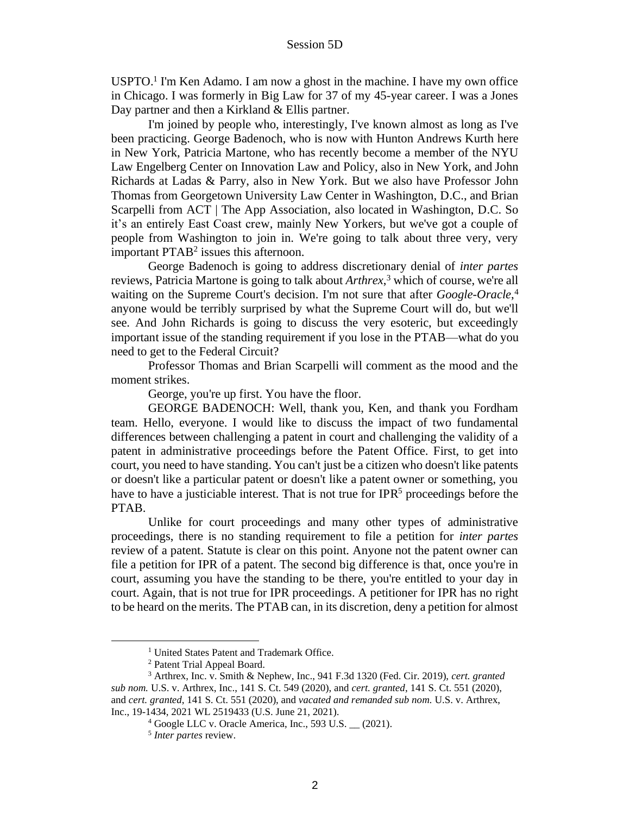USPTO.<sup>1</sup> I'm Ken Adamo. I am now a ghost in the machine. I have my own office in Chicago. I was formerly in Big Law for 37 of my 45-year career. I was a Jones Day partner and then a Kirkland & Ellis partner.

I'm joined by people who, interestingly, I've known almost as long as I've been practicing. George Badenoch, who is now with Hunton Andrews Kurth here in New York, Patricia Martone, who has recently become a member of the NYU Law Engelberg Center on Innovation Law and Policy, also in New York, and John Richards at Ladas & Parry, also in New York. But we also have Professor John Thomas from Georgetown University Law Center in Washington, D.C., and Brian Scarpelli from ACT | The App Association, also located in Washington, D.C. So it's an entirely East Coast crew, mainly New Yorkers, but we've got a couple of people from Washington to join in. We're going to talk about three very, very important  $PTAB<sup>2</sup>$  issues this afternoon.

George Badenoch is going to address discretionary denial of *inter partes* reviews, Patricia Martone is going to talk about *Arthrex*, <sup>3</sup> which of course, we're all waiting on the Supreme Court's decision. I'm not sure that after *Google-Oracle*, 4 anyone would be terribly surprised by what the Supreme Court will do, but we'll see. And John Richards is going to discuss the very esoteric, but exceedingly important issue of the standing requirement if you lose in the PTAB—what do you need to get to the Federal Circuit?

Professor Thomas and Brian Scarpelli will comment as the mood and the moment strikes.

George, you're up first. You have the floor.

GEORGE BADENOCH: Well, thank you, Ken, and thank you Fordham team. Hello, everyone. I would like to discuss the impact of two fundamental differences between challenging a patent in court and challenging the validity of a patent in administrative proceedings before the Patent Office. First, to get into court, you need to have standing. You can't just be a citizen who doesn't like patents or doesn't like a particular patent or doesn't like a patent owner or something, you have to have a justiciable interest. That is not true for  $IPR<sup>5</sup>$  proceedings before the PTAB.

Unlike for court proceedings and many other types of administrative proceedings, there is no standing requirement to file a petition for *inter partes* review of a patent. Statute is clear on this point. Anyone not the patent owner can file a petition for IPR of a patent. The second big difference is that, once you're in court, assuming you have the standing to be there, you're entitled to your day in court. Again, that is not true for IPR proceedings. A petitioner for IPR has no right to be heard on the merits. The PTAB can, in its discretion, deny a petition for almost

<sup>&</sup>lt;sup>1</sup> United States Patent and Trademark Office.

<sup>2</sup> Patent Trial Appeal Board.

<sup>3</sup> Arthrex, Inc. v. Smith & Nephew, Inc., 941 F.3d 1320 (Fed. Cir. 2019), *cert. granted sub nom.* U.S. v. Arthrex, Inc., 141 S. Ct. 549 (2020), and *cert. granted*, 141 S. Ct. 551 (2020), and *cert. granted*, 141 S. Ct. 551 (2020), and *vacated and remanded sub nom.* U.S. v. Arthrex, Inc., 19-1434, 2021 WL 2519433 (U.S. June 21, 2021).

<sup>4</sup> Google LLC v. Oracle America, Inc., 593 U.S. \_\_ (2021).

<sup>5</sup> *Inter partes* review.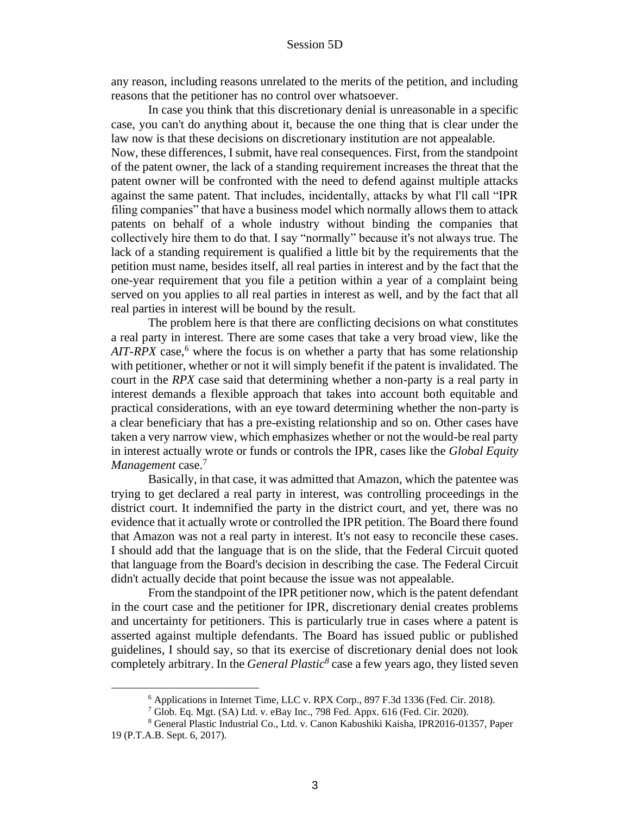any reason, including reasons unrelated to the merits of the petition, and including reasons that the petitioner has no control over whatsoever.

In case you think that this discretionary denial is unreasonable in a specific case, you can't do anything about it, because the one thing that is clear under the law now is that these decisions on discretionary institution are not appealable.

Now, these differences, I submit, have real consequences. First, from the standpoint of the patent owner, the lack of a standing requirement increases the threat that the patent owner will be confronted with the need to defend against multiple attacks against the same patent. That includes, incidentally, attacks by what I'll call "IPR filing companies" that have a business model which normally allows them to attack patents on behalf of a whole industry without binding the companies that collectively hire them to do that. I say "normally" because it's not always true. The lack of a standing requirement is qualified a little bit by the requirements that the petition must name, besides itself, all real parties in interest and by the fact that the one-year requirement that you file a petition within a year of a complaint being served on you applies to all real parties in interest as well, and by the fact that all real parties in interest will be bound by the result.

The problem here is that there are conflicting decisions on what constitutes a real party in interest. There are some cases that take a very broad view, like the  $AIT-RPX$  case,<sup>6</sup> where the focus is on whether a party that has some relationship with petitioner, whether or not it will simply benefit if the patent is invalidated. The court in the *RPX* case said that determining whether a non-party is a real party in interest demands a flexible approach that takes into account both equitable and practical considerations, with an eye toward determining whether the non-party is a clear beneficiary that has a pre-existing relationship and so on. Other cases have taken a very narrow view, which emphasizes whether or not the would-be real party in interest actually wrote or funds or controls the IPR, cases like the *Global Equity Management* case.<sup>7</sup>

Basically, in that case, it was admitted that Amazon, which the patentee was trying to get declared a real party in interest, was controlling proceedings in the district court. It indemnified the party in the district court, and yet, there was no evidence that it actually wrote or controlled the IPR petition. The Board there found that Amazon was not a real party in interest. It's not easy to reconcile these cases. I should add that the language that is on the slide, that the Federal Circuit quoted that language from the Board's decision in describing the case. The Federal Circuit didn't actually decide that point because the issue was not appealable.

From the standpoint of the IPR petitioner now, which is the patent defendant in the court case and the petitioner for IPR, discretionary denial creates problems and uncertainty for petitioners. This is particularly true in cases where a patent is asserted against multiple defendants. The Board has issued public or published guidelines, I should say, so that its exercise of discretionary denial does not look completely arbitrary. In the *General Plastic<sup>8</sup>* case a few years ago, they listed seven

<sup>6</sup> Applications in Internet Time, LLC v. RPX Corp., 897 F.3d 1336 (Fed. Cir. 2018).

<sup>7</sup> Glob. Eq. Mgt. (SA) Ltd. v. eBay Inc., 798 Fed. Appx. 616 (Fed. Cir. 2020).

<sup>8</sup> General Plastic Industrial Co., Ltd. v. Canon Kabushiki Kaisha, IPR2016-01357, Paper 19 (P.T.A.B. Sept. 6, 2017).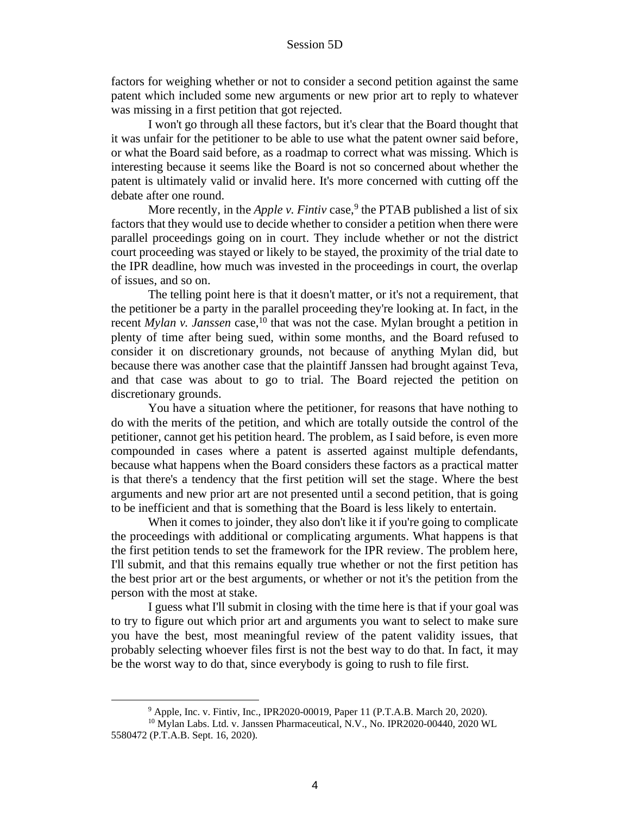factors for weighing whether or not to consider a second petition against the same patent which included some new arguments or new prior art to reply to whatever was missing in a first petition that got rejected.

I won't go through all these factors, but it's clear that the Board thought that it was unfair for the petitioner to be able to use what the patent owner said before, or what the Board said before, as a roadmap to correct what was missing. Which is interesting because it seems like the Board is not so concerned about whether the patent is ultimately valid or invalid here. It's more concerned with cutting off the debate after one round.

More recently, in the *Apple v. Fintiv* case,<sup>9</sup> the PTAB published a list of six factors that they would use to decide whether to consider a petition when there were parallel proceedings going on in court. They include whether or not the district court proceeding was stayed or likely to be stayed, the proximity of the trial date to the IPR deadline, how much was invested in the proceedings in court, the overlap of issues, and so on.

The telling point here is that it doesn't matter, or it's not a requirement, that the petitioner be a party in the parallel proceeding they're looking at. In fact, in the recent *Mylan v. Janssen* case,<sup>10</sup> that was not the case. Mylan brought a petition in plenty of time after being sued, within some months, and the Board refused to consider it on discretionary grounds, not because of anything Mylan did, but because there was another case that the plaintiff Janssen had brought against Teva, and that case was about to go to trial. The Board rejected the petition on discretionary grounds.

You have a situation where the petitioner, for reasons that have nothing to do with the merits of the petition, and which are totally outside the control of the petitioner, cannot get his petition heard. The problem, as I said before, is even more compounded in cases where a patent is asserted against multiple defendants, because what happens when the Board considers these factors as a practical matter is that there's a tendency that the first petition will set the stage. Where the best arguments and new prior art are not presented until a second petition, that is going to be inefficient and that is something that the Board is less likely to entertain.

When it comes to joinder, they also don't like it if you're going to complicate the proceedings with additional or complicating arguments. What happens is that the first petition tends to set the framework for the IPR review. The problem here, I'll submit, and that this remains equally true whether or not the first petition has the best prior art or the best arguments, or whether or not it's the petition from the person with the most at stake.

I guess what I'll submit in closing with the time here is that if your goal was to try to figure out which prior art and arguments you want to select to make sure you have the best, most meaningful review of the patent validity issues, that probably selecting whoever files first is not the best way to do that. In fact, it may be the worst way to do that, since everybody is going to rush to file first.

<sup>9</sup> Apple, Inc. v. Fintiv, Inc., IPR2020-00019, Paper 11 (P.T.A.B. March 20, 2020). <sup>10</sup> Mylan Labs. Ltd. v. Janssen Pharmaceutical, N.V., No. IPR2020-00440, 2020 WL 5580472 (P.T.A.B. Sept. 16, 2020).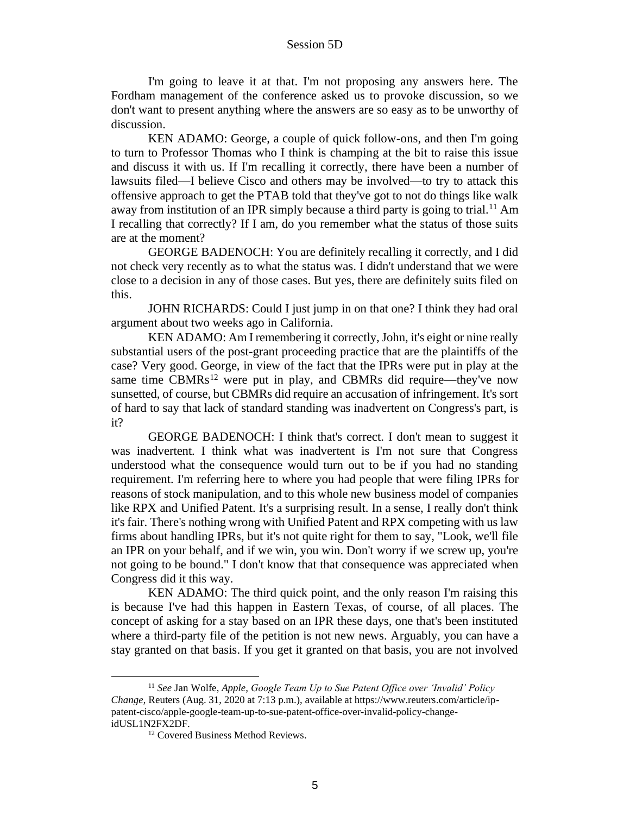I'm going to leave it at that. I'm not proposing any answers here. The Fordham management of the conference asked us to provoke discussion, so we don't want to present anything where the answers are so easy as to be unworthy of discussion.

KEN ADAMO: George, a couple of quick follow-ons, and then I'm going to turn to Professor Thomas who I think is champing at the bit to raise this issue and discuss it with us. If I'm recalling it correctly, there have been a number of lawsuits filed—I believe Cisco and others may be involved—to try to attack this offensive approach to get the PTAB told that they've got to not do things like walk away from institution of an IPR simply because a third party is going to trial.<sup>11</sup> Am I recalling that correctly? If I am, do you remember what the status of those suits are at the moment?

GEORGE BADENOCH: You are definitely recalling it correctly, and I did not check very recently as to what the status was. I didn't understand that we were close to a decision in any of those cases. But yes, there are definitely suits filed on this.

JOHN RICHARDS: Could I just jump in on that one? I think they had oral argument about two weeks ago in California.

KEN ADAMO: Am I remembering it correctly, John, it's eight or nine really substantial users of the post-grant proceeding practice that are the plaintiffs of the case? Very good. George, in view of the fact that the IPRs were put in play at the same time  $CBMRs<sup>12</sup>$  were put in play, and CBMRs did require—they've now sunsetted, of course, but CBMRs did require an accusation of infringement. It's sort of hard to say that lack of standard standing was inadvertent on Congress's part, is it?

GEORGE BADENOCH: I think that's correct. I don't mean to suggest it was inadvertent. I think what was inadvertent is I'm not sure that Congress understood what the consequence would turn out to be if you had no standing requirement. I'm referring here to where you had people that were filing IPRs for reasons of stock manipulation, and to this whole new business model of companies like RPX and Unified Patent. It's a surprising result. In a sense, I really don't think it's fair. There's nothing wrong with Unified Patent and RPX competing with us law firms about handling IPRs, but it's not quite right for them to say, "Look, we'll file an IPR on your behalf, and if we win, you win. Don't worry if we screw up, you're not going to be bound." I don't know that that consequence was appreciated when Congress did it this way.

KEN ADAMO: The third quick point, and the only reason I'm raising this is because I've had this happen in Eastern Texas, of course, of all places. The concept of asking for a stay based on an IPR these days, one that's been instituted where a third-party file of the petition is not new news. Arguably, you can have a stay granted on that basis. If you get it granted on that basis, you are not involved

<sup>11</sup> *See* Jan Wolfe, *Apple, Google Team Up to Sue Patent Office over 'Invalid' Policy Change*, Reuters (Aug. 31, 2020 at 7:13 p.m.), available at https://www.reuters.com/article/ippatent-cisco/apple-google-team-up-to-sue-patent-office-over-invalid-policy-changeidUSL1N2FX2DF.

<sup>&</sup>lt;sup>12</sup> Covered Business Method Reviews.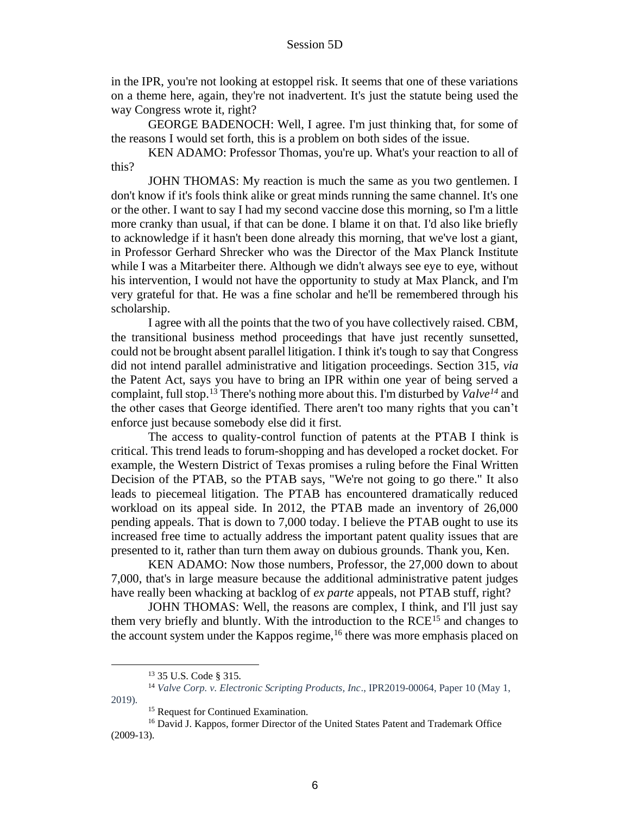in the IPR, you're not looking at estoppel risk. It seems that one of these variations on a theme here, again, they're not inadvertent. It's just the statute being used the way Congress wrote it, right?

GEORGE BADENOCH: Well, I agree. I'm just thinking that, for some of the reasons I would set forth, this is a problem on both sides of the issue.

KEN ADAMO: Professor Thomas, you're up. What's your reaction to all of this?

JOHN THOMAS: My reaction is much the same as you two gentlemen. I don't know if it's fools think alike or great minds running the same channel. It's one or the other. I want to say I had my second vaccine dose this morning, so I'm a little more cranky than usual, if that can be done. I blame it on that. I'd also like briefly to acknowledge if it hasn't been done already this morning, that we've lost a giant, in Professor Gerhard Shrecker who was the Director of the Max Planck Institute while I was a Mitarbeiter there. Although we didn't always see eye to eye, without his intervention, I would not have the opportunity to study at Max Planck, and I'm very grateful for that. He was a fine scholar and he'll be remembered through his scholarship.

I agree with all the points that the two of you have collectively raised. CBM, the transitional business method proceedings that have just recently sunsetted, could not be brought absent parallel litigation. I think it's tough to say that Congress did not intend parallel administrative and litigation proceedings. Section 315, *via* the Patent Act, says you have to bring an IPR within one year of being served a complaint, full stop.<sup>13</sup> There's nothing more about this. I'm disturbed by *Valve<sup>14</sup>* and the other cases that George identified. There aren't too many rights that you can't enforce just because somebody else did it first.

The access to quality-control function of patents at the PTAB I think is critical. This trend leads to forum-shopping and has developed a rocket docket. For example, the Western District of Texas promises a ruling before the Final Written Decision of the PTAB, so the PTAB says, "We're not going to go there." It also leads to piecemeal litigation. The PTAB has encountered dramatically reduced workload on its appeal side. In 2012, the PTAB made an inventory of 26,000 pending appeals. That is down to 7,000 today. I believe the PTAB ought to use its increased free time to actually address the important patent quality issues that are presented to it, rather than turn them away on dubious grounds. Thank you, Ken.

KEN ADAMO: Now those numbers, Professor, the 27,000 down to about 7,000, that's in large measure because the additional administrative patent judges have really been whacking at backlog of *ex parte* appeals, not PTAB stuff, right?

JOHN THOMAS: Well, the reasons are complex, I think, and I'll just say them very briefly and bluntly. With the introduction to the RCE<sup>15</sup> and changes to the account system under the Kappos regime,<sup>16</sup> there was more emphasis placed on

<sup>13</sup> 35 U.S. Code § 315.

<sup>14</sup> *Valve Corp. v. Electronic Scripting Products, Inc*., IPR2019-00064, Paper 10 (May 1, 2019).

<sup>&</sup>lt;sup>15</sup> Request for Continued Examination.

<sup>16</sup> David J. Kappos, former Director of the United States Patent and Trademark Office (2009-13).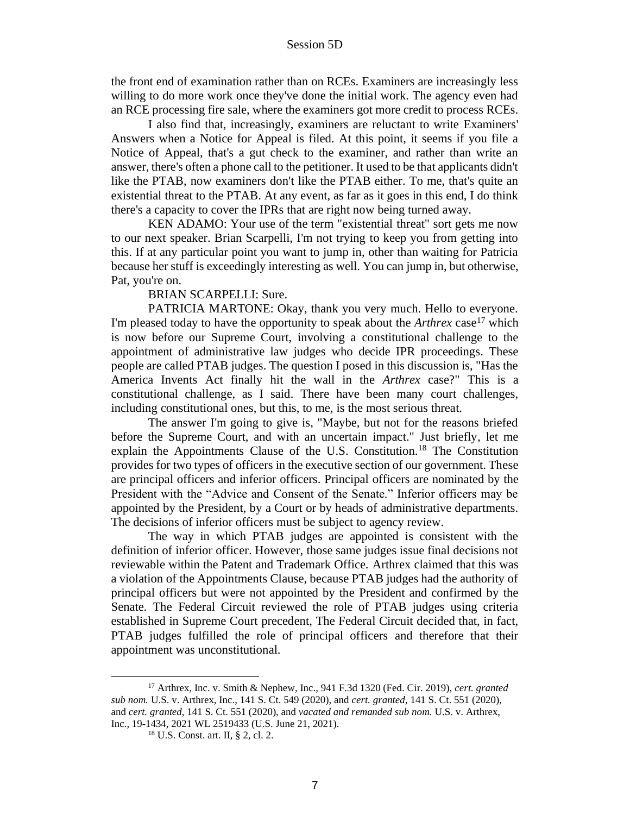the front end of examination rather than on RCEs. Examiners are increasingly less willing to do more work once they've done the initial work. The agency even had an RCE processing fire sale, where the examiners got more credit to process RCEs.

I also find that, increasingly, examiners are reluctant to write Examiners' Answers when a Notice for Appeal is filed. At this point, it seems if you file a Notice of Appeal, that's a gut check to the examiner, and rather than write an answer, there's often a phone call to the petitioner. It used to be that applicants didn't like the PTAB, now examiners don't like the PTAB either. To me, that's quite an existential threat to the PTAB. At any event, as far as it goes in this end, I do think there's a capacity to cover the IPRs that are right now being turned away.

KEN ADAMO: Your use of the term "existential threat" sort gets me now to our next speaker. Brian Scarpelli, I'm not trying to keep you from getting into this. If at any particular point you want to jump in, other than waiting for Patricia because her stuff is exceedingly interesting as well. You can jump in, but otherwise, Pat, you're on.

BRIAN SCARPELLI: Sure.

PATRICIA MARTONE: Okay, thank you very much. Hello to everyone. I'm pleased today to have the opportunity to speak about the *Arthrex* case<sup>17</sup> which is now before our Supreme Court, involving a constitutional challenge to the appointment of administrative law judges who decide IPR proceedings. These people are called PTAB judges. The question I posed in this discussion is, "Has the America Invents Act finally hit the wall in the *Arthrex* case?" This is a constitutional challenge, as I said. There have been many court challenges, including constitutional ones, but this, to me, is the most serious threat.

The answer I'm going to give is, "Maybe, but not for the reasons briefed before the Supreme Court, and with an uncertain impact." Just briefly, let me explain the Appointments Clause of the U.S. Constitution.<sup>18</sup> The Constitution provides for two types of officers in the executive section of our government. These are principal officers and inferior officers. Principal officers are nominated by the President with the "Advice and Consent of the Senate." Inferior officers may be appointed by the President, by a Court or by heads of administrative departments. The decisions of inferior officers must be subject to agency review.

The way in which PTAB judges are appointed is consistent with the definition of inferior officer. However, those same judges issue final decisions not reviewable within the Patent and Trademark Office. Arthrex claimed that this was a violation of the Appointments Clause, because PTAB judges had the authority of principal officers but were not appointed by the President and confirmed by the Senate. The Federal Circuit reviewed the role of PTAB judges using criteria established in Supreme Court precedent, The Federal Circuit decided that, in fact, PTAB judges fulfilled the role of principal officers and therefore that their appointment was unconstitutional.

<sup>17</sup> Arthrex, Inc. v. Smith & Nephew, Inc., 941 F.3d 1320 (Fed. Cir. 2019), *cert. granted sub nom.* U.S. v. Arthrex, Inc., 141 S. Ct. 549 (2020), and *cert. granted*, 141 S. Ct. 551 (2020), and *cert. granted*, 141 S. Ct. 551 (2020), and *vacated and remanded sub nom.* U.S. v. Arthrex, Inc., 19-1434, 2021 WL 2519433 (U.S. June 21, 2021).

<sup>18</sup> U.S. Const. art. II, § 2, cl. 2.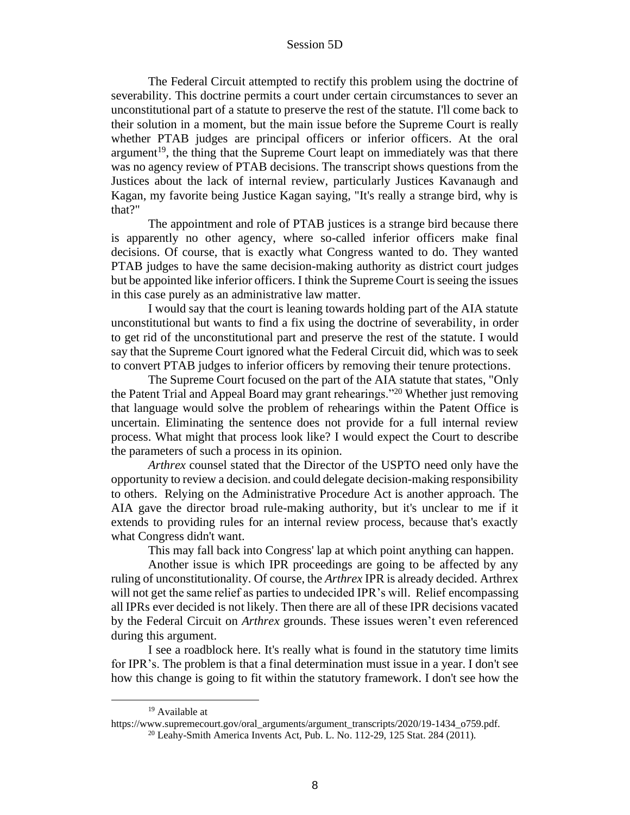The Federal Circuit attempted to rectify this problem using the doctrine of severability. This doctrine permits a court under certain circumstances to sever an unconstitutional part of a statute to preserve the rest of the statute. I'll come back to their solution in a moment, but the main issue before the Supreme Court is really whether PTAB judges are principal officers or inferior officers. At the oral argument<sup>19</sup>, the thing that the Supreme Court leapt on immediately was that there was no agency review of PTAB decisions. The transcript shows questions from the Justices about the lack of internal review, particularly Justices Kavanaugh and Kagan, my favorite being Justice Kagan saying, "It's really a strange bird, why is that?"

The appointment and role of PTAB justices is a strange bird because there is apparently no other agency, where so-called inferior officers make final decisions. Of course, that is exactly what Congress wanted to do. They wanted PTAB judges to have the same decision-making authority as district court judges but be appointed like inferior officers. I think the Supreme Court is seeing the issues in this case purely as an administrative law matter.

I would say that the court is leaning towards holding part of the AIA statute unconstitutional but wants to find a fix using the doctrine of severability, in order to get rid of the unconstitutional part and preserve the rest of the statute. I would say that the Supreme Court ignored what the Federal Circuit did, which was to seek to convert PTAB judges to inferior officers by removing their tenure protections.

The Supreme Court focused on the part of the AIA statute that states, "Only the Patent Trial and Appeal Board may grant rehearings."<sup>20</sup> Whether just removing that language would solve the problem of rehearings within the Patent Office is uncertain. Eliminating the sentence does not provide for a full internal review process. What might that process look like? I would expect the Court to describe the parameters of such a process in its opinion.

*Arthrex* counsel stated that the Director of the USPTO need only have the opportunity to review a decision. and could delegate decision-making responsibility to others. Relying on the Administrative Procedure Act is another approach. The AIA gave the director broad rule-making authority, but it's unclear to me if it extends to providing rules for an internal review process, because that's exactly what Congress didn't want.

This may fall back into Congress' lap at which point anything can happen.

Another issue is which IPR proceedings are going to be affected by any ruling of unconstitutionality. Of course, the *Arthrex* IPR is already decided. Arthrex will not get the same relief as parties to undecided IPR's will. Relief encompassing all IPRs ever decided is not likely. Then there are all of these IPR decisions vacated by the Federal Circuit on *Arthrex* grounds. These issues weren't even referenced during this argument.

I see a roadblock here. It's really what is found in the statutory time limits for IPR's. The problem is that a final determination must issue in a year. I don't see how this change is going to fit within the statutory framework. I don't see how the

<sup>19</sup> Available at

https://www.supremecourt.gov/oral\_arguments/argument\_transcripts/2020/19-1434\_o759.pdf.

 $20$  Leahy-Smith America Invents Act, Pub. L. No. 112-29, 125 Stat. 284 (2011).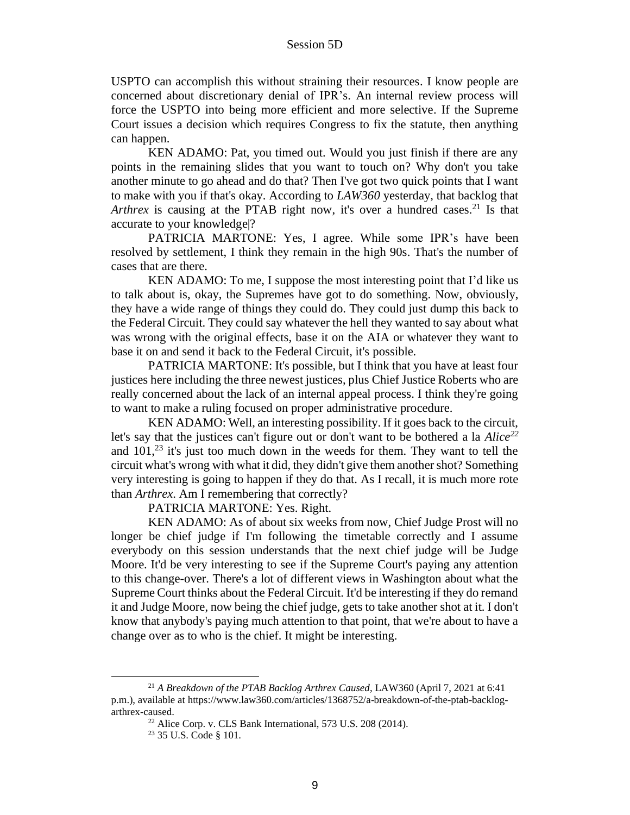USPTO can accomplish this without straining their resources. I know people are concerned about discretionary denial of IPR's. An internal review process will force the USPTO into being more efficient and more selective. If the Supreme Court issues a decision which requires Congress to fix the statute, then anything can happen.

KEN ADAMO: Pat, you timed out. Would you just finish if there are any points in the remaining slides that you want to touch on? Why don't you take another minute to go ahead and do that? Then I've got two quick points that I want to make with you if that's okay. According to *LAW360* yesterday, that backlog that *Arthrex* is causing at the PTAB right now, it's over a hundred cases.<sup>21</sup> Is that accurate to your knowledge|?

PATRICIA MARTONE: Yes, I agree. While some IPR's have been resolved by settlement, I think they remain in the high 90s. That's the number of cases that are there.

KEN ADAMO: To me, I suppose the most interesting point that I'd like us to talk about is, okay, the Supremes have got to do something. Now, obviously, they have a wide range of things they could do. They could just dump this back to the Federal Circuit. They could say whatever the hell they wanted to say about what was wrong with the original effects, base it on the AIA or whatever they want to base it on and send it back to the Federal Circuit, it's possible.

PATRICIA MARTONE: It's possible, but I think that you have at least four justices here including the three newest justices, plus Chief Justice Roberts who are really concerned about the lack of an internal appeal process. I think they're going to want to make a ruling focused on proper administrative procedure.

KEN ADAMO: Well, an interesting possibility. If it goes back to the circuit, let's say that the justices can't figure out or don't want to be bothered a la *Alice<sup>22</sup>* and  $101<sup>23</sup>$  it's just too much down in the weeds for them. They want to tell the circuit what's wrong with what it did, they didn't give them another shot? Something very interesting is going to happen if they do that. As I recall, it is much more rote than *Arthrex*. Am I remembering that correctly?

PATRICIA MARTONE: Yes. Right.

KEN ADAMO: As of about six weeks from now, Chief Judge Prost will no longer be chief judge if I'm following the timetable correctly and I assume everybody on this session understands that the next chief judge will be Judge Moore. It'd be very interesting to see if the Supreme Court's paying any attention to this change-over. There's a lot of different views in Washington about what the Supreme Court thinks about the Federal Circuit. It'd be interesting if they do remand it and Judge Moore, now being the chief judge, gets to take another shot at it. I don't know that anybody's paying much attention to that point, that we're about to have a change over as to who is the chief. It might be interesting.

<sup>21</sup> *A Breakdown of the PTAB Backlog Arthrex Caused*, LAW360 (April 7, 2021 at 6:41 p.m.), available at https://www.law360.com/articles/1368752/a-breakdown-of-the-ptab-backlogarthrex-caused.

 $22$  Alice Corp. v. CLS Bank International, 573 U.S. 208 (2014).

<sup>23</sup> 35 U.S. Code § 101.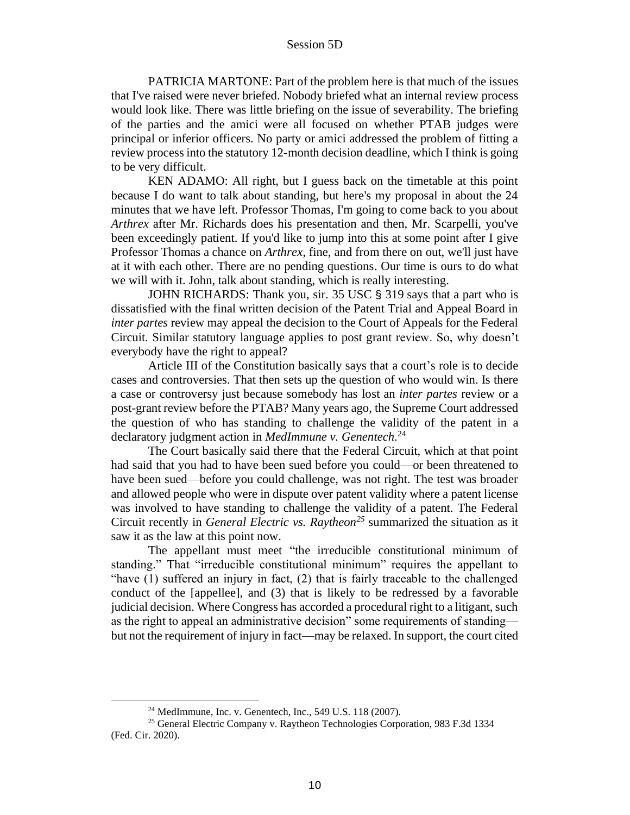PATRICIA MARTONE: Part of the problem here is that much of the issues that I've raised were never briefed. Nobody briefed what an internal review process would look like. There was little briefing on the issue of severability. The briefing of the parties and the amici were all focused on whether PTAB judges were principal or inferior officers. No party or amici addressed the problem of fitting a review process into the statutory 12-month decision deadline, which I think is going to be very difficult.

KEN ADAMO: All right, but I guess back on the timetable at this point because I do want to talk about standing, but here's my proposal in about the 24 minutes that we have left. Professor Thomas, I'm going to come back to you about *Arthrex* after Mr. Richards does his presentation and then, Mr. Scarpelli, you've been exceedingly patient. If you'd like to jump into this at some point after I give Professor Thomas a chance on *Arthrex*, fine, and from there on out, we'll just have at it with each other. There are no pending questions. Our time is ours to do what we will with it. John, talk about standing, which is really interesting.

JOHN RICHARDS: Thank you, sir. 35 USC § 319 says that a part who is dissatisfied with the final written decision of the Patent Trial and Appeal Board in *inter partes* review may appeal the decision to the Court of Appeals for the Federal Circuit. Similar statutory language applies to post grant review. So, why doesn't everybody have the right to appeal?

Article III of the Constitution basically says that a court's role is to decide cases and controversies. That then sets up the question of who would win. Is there a case or controversy just because somebody has lost an *inter partes* review or a post-grant review before the PTAB? Many years ago, the Supreme Court addressed the question of who has standing to challenge the validity of the patent in a declaratory judgment action in *MedImmune v. Genentech*. 24

The Court basically said there that the Federal Circuit, which at that point had said that you had to have been sued before you could—or been threatened to have been sued—before you could challenge, was not right. The test was broader and allowed people who were in dispute over patent validity where a patent license was involved to have standing to challenge the validity of a patent. The Federal Circuit recently in *General Electric vs. Raytheon<sup>25</sup>* summarized the situation as it saw it as the law at this point now.

The appellant must meet "the irreducible constitutional minimum of standing." That "irreducible constitutional minimum" requires the appellant to "have (1) suffered an injury in fact, (2) that is fairly traceable to the challenged conduct of the [appellee], and (3) that is likely to be redressed by a favorable judicial decision. Where Congress has accorded a procedural right to a litigant, such as the right to appeal an administrative decision" some requirements of standing but not the requirement of injury in fact—may be relaxed. In support, the court cited

<sup>24</sup> MedImmune, Inc. v. Genentech, Inc., 549 U.S. 118 (2007).

<sup>25</sup> General Electric Company v. Raytheon Technologies Corporation, 983 F.3d 1334 (Fed. Cir. 2020).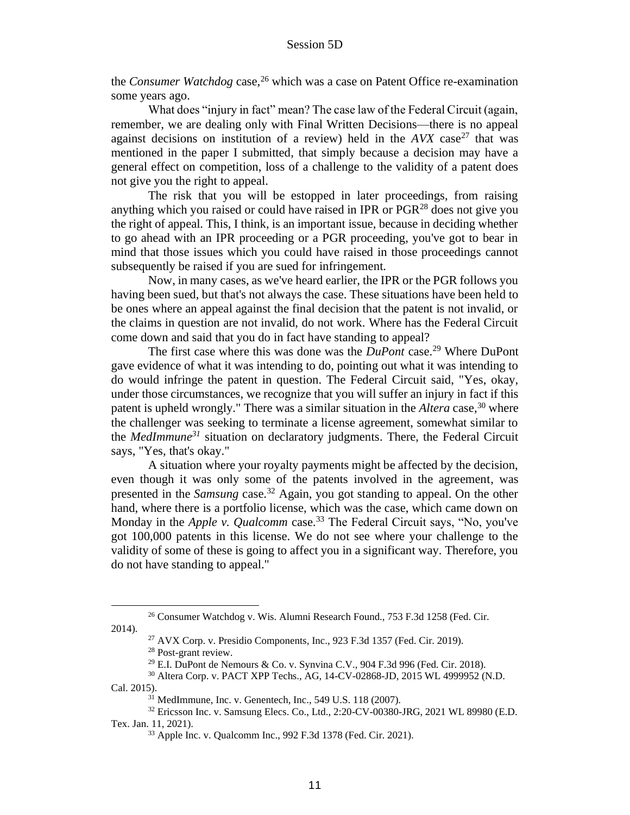the *Consumer Watchdog* case,<sup>26</sup> which was a case on Patent Office re-examination some years ago.

What does "injury in fact" mean? The case law of the Federal Circuit (again, remember, we are dealing only with Final Written Decisions—there is no appeal against decisions on institution of a review) held in the *AVX* case<sup>27</sup> that was mentioned in the paper I submitted, that simply because a decision may have a general effect on competition, loss of a challenge to the validity of a patent does not give you the right to appeal.

The risk that you will be estopped in later proceedings, from raising anything which you raised or could have raised in IPR or  $PGR<sup>28</sup>$  does not give you the right of appeal. This, I think, is an important issue, because in deciding whether to go ahead with an IPR proceeding or a PGR proceeding, you've got to bear in mind that those issues which you could have raised in those proceedings cannot subsequently be raised if you are sued for infringement.

Now, in many cases, as we've heard earlier, the IPR or the PGR follows you having been sued, but that's not always the case. These situations have been held to be ones where an appeal against the final decision that the patent is not invalid, or the claims in question are not invalid, do not work. Where has the Federal Circuit come down and said that you do in fact have standing to appeal?

The first case where this was done was the *DuPont* case.<sup>29</sup> Where DuPont gave evidence of what it was intending to do, pointing out what it was intending to do would infringe the patent in question. The Federal Circuit said, "Yes, okay, under those circumstances, we recognize that you will suffer an injury in fact if this patent is upheld wrongly." There was a similar situation in the *Altera* case, <sup>30</sup> where the challenger was seeking to terminate a license agreement, somewhat similar to the *MedImmune<sup>31</sup>* situation on declaratory judgments. There, the Federal Circuit says, "Yes, that's okay."

A situation where your royalty payments might be affected by the decision, even though it was only some of the patents involved in the agreement, was presented in the *Samsung* case.<sup>32</sup> Again, you got standing to appeal. On the other hand, where there is a portfolio license, which was the case, which came down on Monday in the *Apple v. Qualcomm* case.<sup>33</sup> The Federal Circuit says, "No, you've got 100,000 patents in this license. We do not see where your challenge to the validity of some of these is going to affect you in a significant way. Therefore, you do not have standing to appeal."

<sup>26</sup> Consumer Watchdog v. Wis. Alumni Research Found., 753 F.3d 1258 (Fed. Cir. 2014).

<sup>27</sup> AVX Corp. v. Presidio Components, Inc., 923 F.3d 1357 (Fed. Cir. 2019).

<sup>28</sup> Post-grant review.

<sup>&</sup>lt;sup>29</sup> E.I. DuPont de Nemours & Co. v. Synvina C.V., 904 F.3d 996 (Fed. Cir. 2018).

<sup>30</sup> Altera Corp. v. PACT XPP Techs., AG, 14-CV-02868-JD, 2015 WL 4999952 (N.D. Cal. 2015).

 $31$  MedImmune, Inc. v. Genentech, Inc., 549 U.S. 118 (2007).

<sup>32</sup> Ericsson Inc. v. Samsung Elecs. Co., Ltd., 2:20-CV-00380-JRG, 2021 WL 89980 (E.D. Tex. Jan. 11, 2021).

<sup>33</sup> Apple Inc. v. Qualcomm Inc., 992 F.3d 1378 (Fed. Cir. 2021).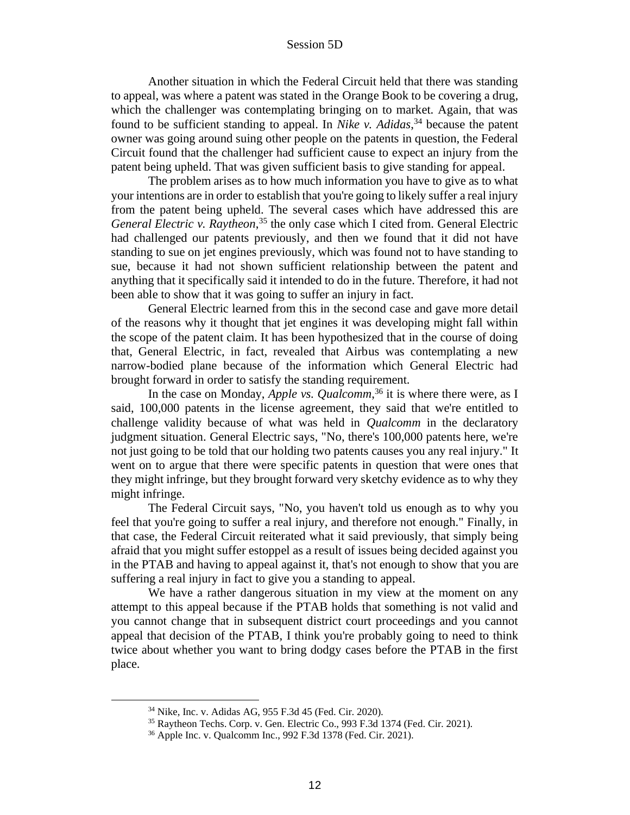Another situation in which the Federal Circuit held that there was standing to appeal, was where a patent was stated in the Orange Book to be covering a drug, which the challenger was contemplating bringing on to market. Again, that was found to be sufficient standing to appeal. In *Nike v. Adidas*, <sup>34</sup> because the patent owner was going around suing other people on the patents in question, the Federal Circuit found that the challenger had sufficient cause to expect an injury from the patent being upheld. That was given sufficient basis to give standing for appeal.

The problem arises as to how much information you have to give as to what your intentions are in order to establish that you're going to likely suffer a real injury from the patent being upheld. The several cases which have addressed this are *General Electric v. Raytheon*, <sup>35</sup> the only case which I cited from. General Electric had challenged our patents previously, and then we found that it did not have standing to sue on jet engines previously, which was found not to have standing to sue, because it had not shown sufficient relationship between the patent and anything that it specifically said it intended to do in the future. Therefore, it had not been able to show that it was going to suffer an injury in fact.

General Electric learned from this in the second case and gave more detail of the reasons why it thought that jet engines it was developing might fall within the scope of the patent claim. It has been hypothesized that in the course of doing that, General Electric, in fact, revealed that Airbus was contemplating a new narrow-bodied plane because of the information which General Electric had brought forward in order to satisfy the standing requirement.

In the case on Monday, *Apple vs. Qualcomm*, <sup>36</sup> it is where there were, as I said, 100,000 patents in the license agreement, they said that we're entitled to challenge validity because of what was held in *Qualcomm* in the declaratory judgment situation. General Electric says, "No, there's 100,000 patents here, we're not just going to be told that our holding two patents causes you any real injury." It went on to argue that there were specific patents in question that were ones that they might infringe, but they brought forward very sketchy evidence as to why they might infringe.

The Federal Circuit says, "No, you haven't told us enough as to why you feel that you're going to suffer a real injury, and therefore not enough." Finally, in that case, the Federal Circuit reiterated what it said previously, that simply being afraid that you might suffer estoppel as a result of issues being decided against you in the PTAB and having to appeal against it, that's not enough to show that you are suffering a real injury in fact to give you a standing to appeal.

We have a rather dangerous situation in my view at the moment on any attempt to this appeal because if the PTAB holds that something is not valid and you cannot change that in subsequent district court proceedings and you cannot appeal that decision of the PTAB, I think you're probably going to need to think twice about whether you want to bring dodgy cases before the PTAB in the first place.

<sup>34</sup> Nike, Inc. v. Adidas AG, 955 F.3d 45 (Fed. Cir. 2020).

<sup>35</sup> Raytheon Techs. Corp. v. Gen. Electric Co., 993 F.3d 1374 (Fed. Cir. 2021).

<sup>36</sup> Apple Inc. v. Qualcomm Inc., 992 F.3d 1378 (Fed. Cir. 2021).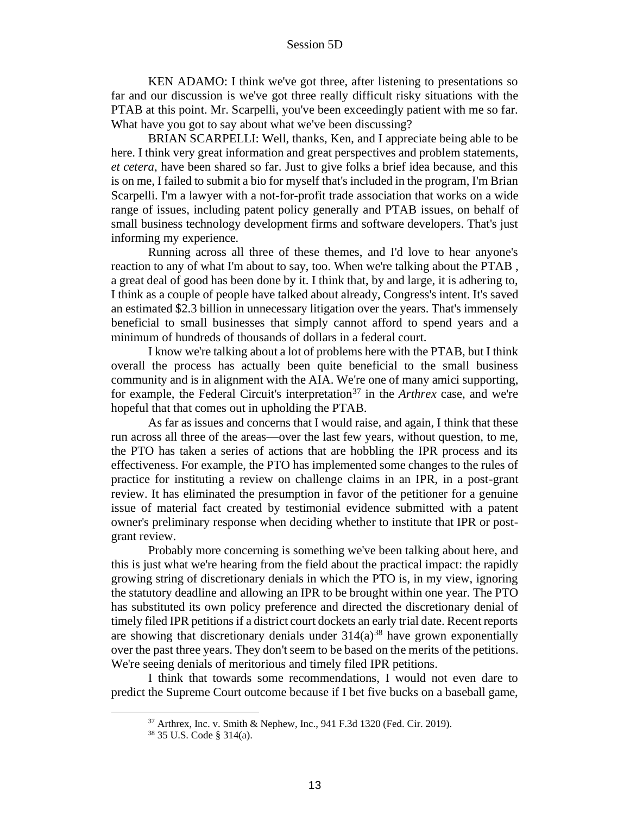KEN ADAMO: I think we've got three, after listening to presentations so far and our discussion is we've got three really difficult risky situations with the PTAB at this point. Mr. Scarpelli, you've been exceedingly patient with me so far. What have you got to say about what we've been discussing?

BRIAN SCARPELLI: Well, thanks, Ken, and I appreciate being able to be here. I think very great information and great perspectives and problem statements, *et cetera*, have been shared so far. Just to give folks a brief idea because, and this is on me, I failed to submit a bio for myself that's included in the program, I'm Brian Scarpelli. I'm a lawyer with a not-for-profit trade association that works on a wide range of issues, including patent policy generally and PTAB issues, on behalf of small business technology development firms and software developers. That's just informing my experience.

Running across all three of these themes, and I'd love to hear anyone's reaction to any of what I'm about to say, too. When we're talking about the PTAB , a great deal of good has been done by it. I think that, by and large, it is adhering to, I think as a couple of people have talked about already, Congress's intent. It's saved an estimated \$2.3 billion in unnecessary litigation over the years. That's immensely beneficial to small businesses that simply cannot afford to spend years and a minimum of hundreds of thousands of dollars in a federal court.

I know we're talking about a lot of problems here with the PTAB, but I think overall the process has actually been quite beneficial to the small business community and is in alignment with the AIA. We're one of many amici supporting, for example, the Federal Circuit's interpretation<sup>37</sup> in the *Arthrex* case, and we're hopeful that that comes out in upholding the PTAB.

As far as issues and concerns that I would raise, and again, I think that these run across all three of the areas—over the last few years, without question, to me, the PTO has taken a series of actions that are hobbling the IPR process and its effectiveness. For example, the PTO has implemented some changes to the rules of practice for instituting a review on challenge claims in an IPR, in a post-grant review. It has eliminated the presumption in favor of the petitioner for a genuine issue of material fact created by testimonial evidence submitted with a patent owner's preliminary response when deciding whether to institute that IPR or postgrant review.

Probably more concerning is something we've been talking about here, and this is just what we're hearing from the field about the practical impact: the rapidly growing string of discretionary denials in which the PTO is, in my view, ignoring the statutory deadline and allowing an IPR to be brought within one year. The PTO has substituted its own policy preference and directed the discretionary denial of timely filed IPR petitions if a district court dockets an early trial date. Recent reports are showing that discretionary denials under  $314(a)<sup>38</sup>$  have grown exponentially over the past three years. They don't seem to be based on the merits of the petitions. We're seeing denials of meritorious and timely filed IPR petitions.

I think that towards some recommendations, I would not even dare to predict the Supreme Court outcome because if I bet five bucks on a baseball game,

<sup>37</sup> Arthrex, Inc. v. Smith & Nephew, Inc., 941 F.3d 1320 (Fed. Cir. 2019).

<sup>38</sup> 35 U.S. Code § 314(a).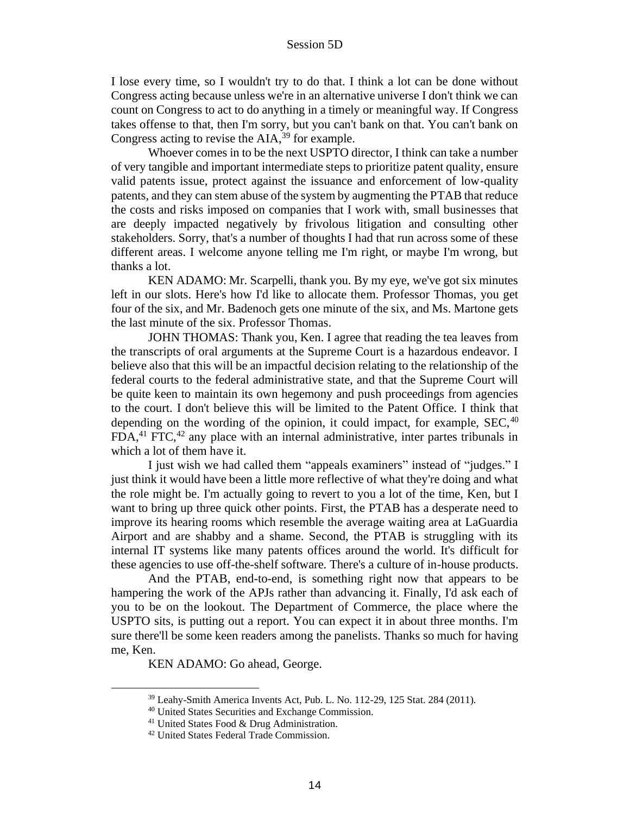I lose every time, so I wouldn't try to do that. I think a lot can be done without Congress acting because unless we're in an alternative universe I don't think we can count on Congress to act to do anything in a timely or meaningful way. If Congress takes offense to that, then I'm sorry, but you can't bank on that. You can't bank on Congress acting to revise the AIA,<sup>39</sup> for example.

Whoever comes in to be the next USPTO director, I think can take a number of very tangible and important intermediate steps to prioritize patent quality, ensure valid patents issue, protect against the issuance and enforcement of low-quality patents, and they can stem abuse of the system by augmenting the PTAB that reduce the costs and risks imposed on companies that I work with, small businesses that are deeply impacted negatively by frivolous litigation and consulting other stakeholders. Sorry, that's a number of thoughts I had that run across some of these different areas. I welcome anyone telling me I'm right, or maybe I'm wrong, but thanks a lot.

KEN ADAMO: Mr. Scarpelli, thank you. By my eye, we've got six minutes left in our slots. Here's how I'd like to allocate them. Professor Thomas, you get four of the six, and Mr. Badenoch gets one minute of the six, and Ms. Martone gets the last minute of the six. Professor Thomas.

JOHN THOMAS: Thank you, Ken. I agree that reading the tea leaves from the transcripts of oral arguments at the Supreme Court is a hazardous endeavor. I believe also that this will be an impactful decision relating to the relationship of the federal courts to the federal administrative state, and that the Supreme Court will be quite keen to maintain its own hegemony and push proceedings from agencies to the court. I don't believe this will be limited to the Patent Office. I think that depending on the wording of the opinion, it could impact, for example,  $SEC.40$  $FDA<sup>41</sup> FTC<sup>42</sup>$  any place with an internal administrative, inter partes tribunals in which a lot of them have it.

I just wish we had called them "appeals examiners" instead of "judges." I just think it would have been a little more reflective of what they're doing and what the role might be. I'm actually going to revert to you a lot of the time, Ken, but I want to bring up three quick other points. First, the PTAB has a desperate need to improve its hearing rooms which resemble the average waiting area at LaGuardia Airport and are shabby and a shame. Second, the PTAB is struggling with its internal IT systems like many patents offices around the world. It's difficult for these agencies to use off-the-shelf software. There's a culture of in-house products.

And the PTAB, end-to-end, is something right now that appears to be hampering the work of the APJs rather than advancing it. Finally, I'd ask each of you to be on the lookout. The Department of Commerce, the place where the USPTO sits, is putting out a report. You can expect it in about three months. I'm sure there'll be some keen readers among the panelists. Thanks so much for having me, Ken.

KEN ADAMO: Go ahead, George.

<sup>39</sup> Leahy-Smith America Invents Act, Pub. L. No. 112-29, 125 Stat. 284 (2011).

<sup>40</sup> United States Securities and Exchange Commission.

<sup>&</sup>lt;sup>41</sup> United States Food & Drug Administration.

<sup>42</sup> United States Federal Trade Commission.